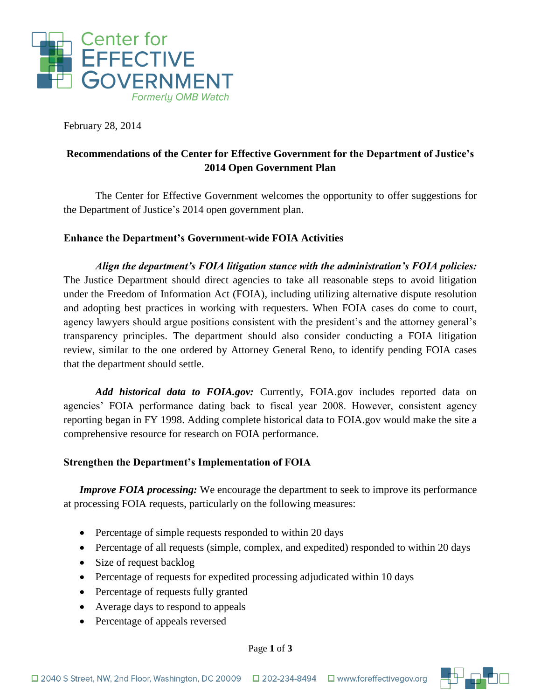

February 28, 2014

# **Recommendations of the Center for Effective Government for the Department of Justice's 2014 Open Government Plan**

The Center for Effective Government welcomes the opportunity to offer suggestions for the Department of Justice's 2014 open government plan.

#### **Enhance the Department's Government-wide FOIA Activities**

*Align the department's FOIA litigation stance with the administration's FOIA policies:* The Justice Department should direct agencies to take all reasonable steps to avoid litigation under the Freedom of Information Act (FOIA), including utilizing alternative dispute resolution and adopting best practices in working with requesters. When FOIA cases do come to court, agency lawyers should argue positions consistent with the president's and the attorney general's transparency principles. The department should also consider conducting a FOIA litigation review, similar to the one ordered by Attorney General Reno, to identify pending FOIA cases that the department should settle.

*Add historical data to FOIA.gov:* Currently, FOIA.gov includes reported data on agencies' FOIA performance dating back to fiscal year 2008. However, consistent agency reporting began in FY 1998. Adding complete historical data to FOIA.gov would make the site a comprehensive resource for research on FOIA performance.

#### **Strengthen the Department's Implementation of FOIA**

*Improve FOIA processing:* We encourage the department to seek to improve its performance at processing FOIA requests, particularly on the following measures:

- Percentage of simple requests responded to within 20 days
- Percentage of all requests (simple, complex, and expedited) responded to within 20 days
- Size of request backlog
- Percentage of requests for expedited processing adjudicated within 10 days
- Percentage of requests fully granted
- Average days to respond to appeals
- Percentage of appeals reversed

Page **1** of **3**

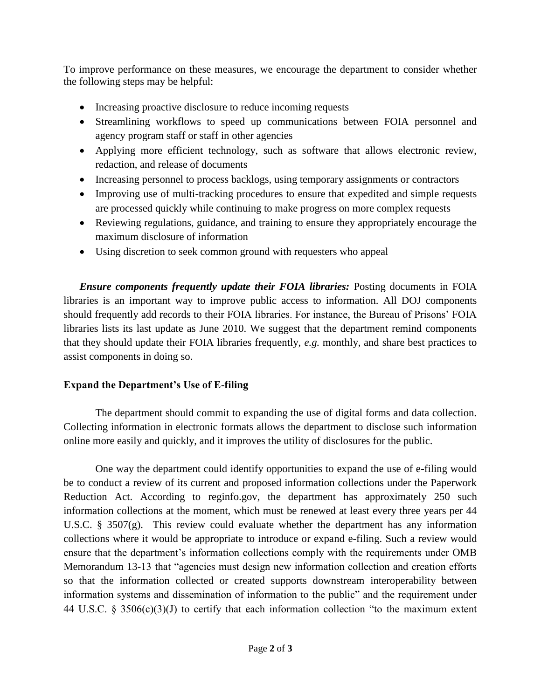To improve performance on these measures, we encourage the department to consider whether the following steps may be helpful:

- Increasing proactive disclosure to reduce incoming requests
- Streamlining workflows to speed up communications between FOIA personnel and agency program staff or staff in other agencies
- Applying more efficient technology, such as software that allows electronic review, redaction, and release of documents
- Increasing personnel to process backlogs, using temporary assignments or contractors
- Improving use of multi-tracking procedures to ensure that expedited and simple requests are processed quickly while continuing to make progress on more complex requests
- Reviewing regulations, guidance, and training to ensure they appropriately encourage the maximum disclosure of information
- Using discretion to seek common ground with requesters who appeal

*Ensure components frequently update their FOIA libraries:* Posting documents in FOIA libraries is an important way to improve public access to information. All DOJ components should frequently add records to their FOIA libraries. For instance, the Bureau of Prisons' FOIA libraries lists its last update as June 2010. We suggest that the department remind components that they should update their FOIA libraries frequently, *e.g.* monthly, and share best practices to assist components in doing so.

## **Expand the Department's Use of E-filing**

The department should commit to expanding the use of digital forms and data collection. Collecting information in electronic formats allows the department to disclose such information online more easily and quickly, and it improves the utility of disclosures for the public.

One way the department could identify opportunities to expand the use of e-filing would be to conduct a review of its current and proposed information collections under the Paperwork Reduction Act. According to reginfo.gov, the department has approximately 250 such information collections at the moment, which must be renewed at least every three years per 44 U.S.C. § 3507(g). This review could evaluate whether the department has any information collections where it would be appropriate to introduce or expand e-filing. Such a review would ensure that the department's information collections comply with the requirements under OMB Memorandum 13-13 that "agencies must design new information collection and creation efforts so that the information collected or created supports downstream interoperability between information systems and dissemination of information to the public" and the requirement under 44 U.S.C. § 3506(c)(3)(J) to certify that each information collection "to the maximum extent